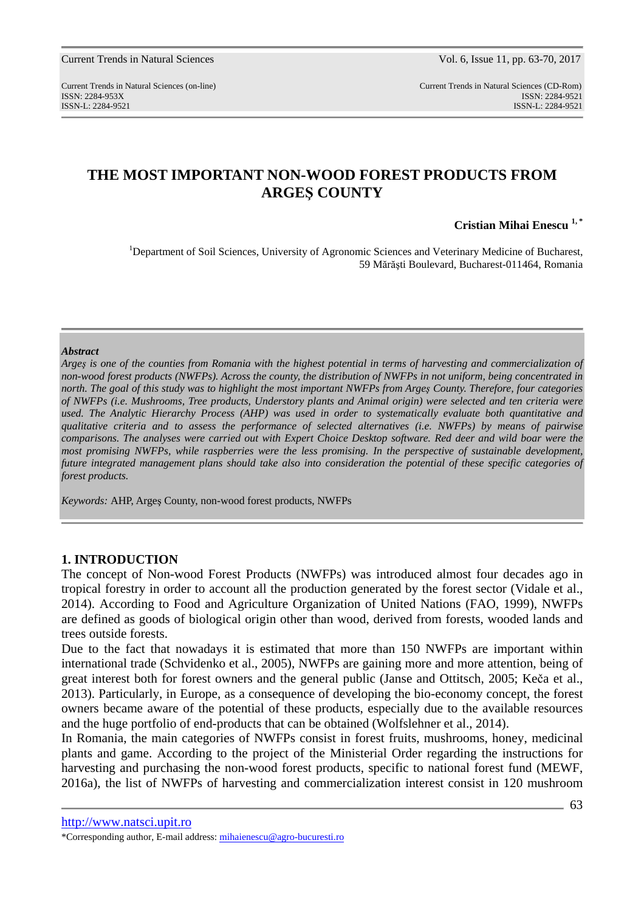Current Trends in Natural Sciences (on-line) Current Trends in Natural Sciences (CD-Rom) ISSN: 2284-953XISSN: 2284-9521 ISSN-L: 2284-9521 ISSN-L: 2284-9521

# **THE MOST IMPORTANT NON-WOOD FOREST PRODUCTS FROM ARGEŞ COUNTY**

**Cristian Mihai Enescu 1, \*** 

<sup>1</sup>Department of Soil Sciences, University of Agronomic Sciences and Veterinary Medicine of Bucharest, 59 Mărăşti Boulevard, Bucharest-011464, Romania

#### *Abstract*

*Argeş is one of the counties from Romania with the highest potential in terms of harvesting and commercialization of non-wood forest products (NWFPs). Across the county, the distribution of NWFPs in not uniform, being concentrated in north. The goal of this study was to highlight the most important NWFPs from Argeş County. Therefore, four categories of NWFPs (i.e. Mushrooms, Tree products, Understory plants and Animal origin) were selected and ten criteria were used. The Analytic Hierarchy Process (AHP) was used in order to systematically evaluate both quantitative and qualitative criteria and to assess the performance of selected alternatives (i.e. NWFPs) by means of pairwise comparisons. The analyses were carried out with Expert Choice Desktop software. Red deer and wild boar were the most promising NWFPs, while raspberries were the less promising. In the perspective of sustainable development, future integrated management plans should take also into consideration the potential of these specific categories of forest products.* 

*Keywords:* AHP, Argeş County, non-wood forest products, NWFPs

## **1. INTRODUCTION**

The concept of Non-wood Forest Products (NWFPs) was introduced almost four decades ago in tropical forestry in order to account all the production generated by the forest sector (Vidale et al., 2014). According to Food and Agriculture Organization of United Nations (FAO, 1999), NWFPs are defined as goods of biological origin other than wood, derived from forests, wooded lands and trees outside forests.

Due to the fact that nowadays it is estimated that more than 150 NWFPs are important within international trade (Schvidenko et al., 2005), NWFPs are gaining more and more attention, being of great interest both for forest owners and the general public (Janse and Ottitsch, 2005; Keča et al., 2013). Particularly, in Europe, as a consequence of developing the bio-economy concept, the forest owners became aware of the potential of these products, especially due to the available resources and the huge portfolio of end-products that can be obtained (Wolfslehner et al., 2014).

In Romania, the main categories of NWFPs consist in forest fruits, mushrooms, honey, medicinal plants and game. According to the project of the Ministerial Order regarding the instructions for harvesting and purchasing the non-wood forest products, specific to national forest fund (MEWF, 2016a), the list of NWFPs of harvesting and commercialization interest consist in 120 mushroom

http://www.natsci.upit.ro

<sup>\*</sup>Corresponding author, E-mail address: mihaienescu@agro-bucuresti.ro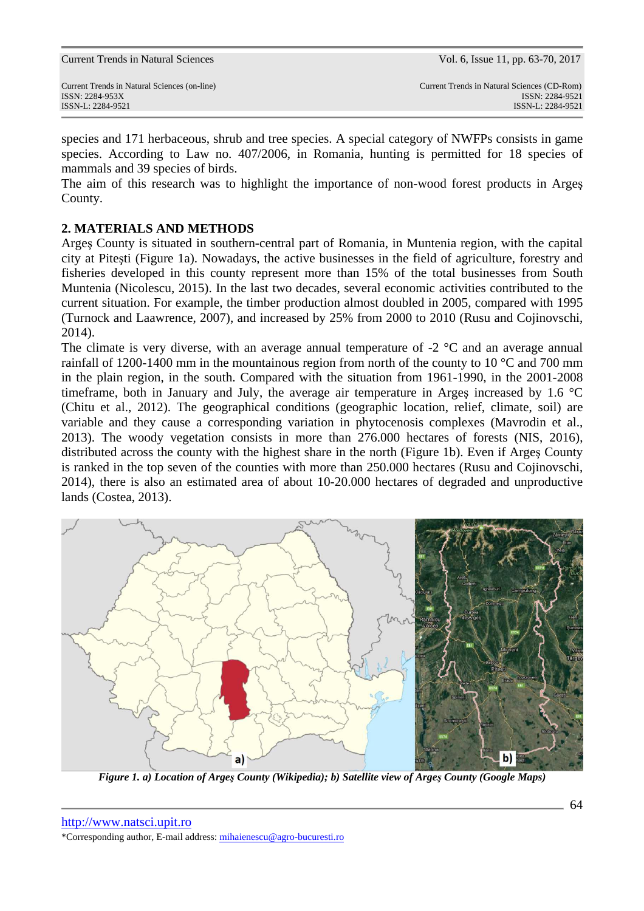species and 171 herbaceous, shrub and tree species. A special category of NWFPs consists in game species. According to Law no. 407/2006, in Romania, hunting is permitted for 18 species of mammals and 39 species of birds.

The aim of this research was to highlight the importance of non-wood forest products in Argeş County.

## **2. MATERIALS AND METHODS**

Argeş County is situated in southern-central part of Romania, in Muntenia region, with the capital city at Piteşti (Figure 1a). Nowadays, the active businesses in the field of agriculture, forestry and fisheries developed in this county represent more than 15% of the total businesses from South Muntenia (Nicolescu, 2015). In the last two decades, several economic activities contributed to the current situation. For example, the timber production almost doubled in 2005, compared with 1995 (Turnock and Laawrence, 2007), and increased by 25% from 2000 to 2010 (Rusu and Cojinovschi, 2014).

The climate is very diverse, with an average annual temperature of  $-2$  °C and an average annual rainfall of 1200-1400 mm in the mountainous region from north of the county to 10 °C and 700 mm in the plain region, in the south. Compared with the situation from 1961-1990, in the 2001-2008 timeframe, both in January and July, the average air temperature in Argeş increased by 1.6 °C (Chitu et al., 2012). The geographical conditions (geographic location, relief, climate, soil) are variable and they cause a corresponding variation in phytocenosis complexes (Mavrodin et al., 2013). The woody vegetation consists in more than 276.000 hectares of forests (NIS, 2016), distributed across the county with the highest share in the north (Figure 1b). Even if Argeş County is ranked in the top seven of the counties with more than 250.000 hectares (Rusu and Cojinovschi, 2014), there is also an estimated area of about 10-20.000 hectares of degraded and unproductive lands (Costea, 2013).



*Figure 1. a) Location of Argeş County (Wikipedia); b) Satellite view of Argeş County (Google Maps)*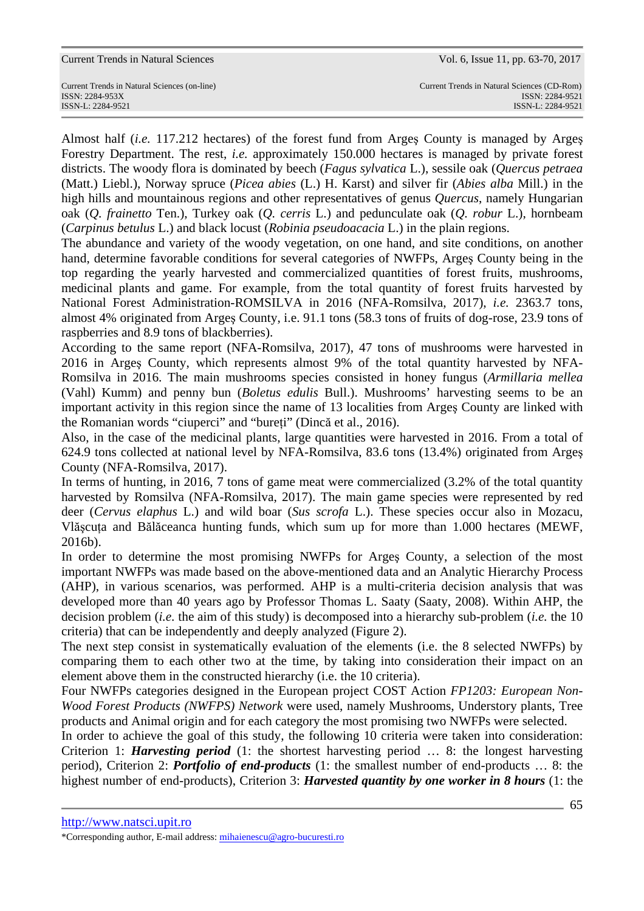Almost half (*i.e.* 117.212 hectares) of the forest fund from Argeş County is managed by Argeş Forestry Department. The rest, *i.e.* approximately 150.000 hectares is managed by private forest districts. The woody flora is dominated by beech (*Fagus sylvatica* L.), sessile oak (*Quercus petraea* (Matt.) Liebl.), Norway spruce (*Picea abies* (L.) H. Karst) and silver fir (*Abies alba* Mill.) in the high hills and mountainous regions and other representatives of genus *Quercus*, namely Hungarian oak (*Q. frainetto* Ten.), Turkey oak (*Q. cerris* L.) and pedunculate oak (*Q. robur* L.), hornbeam (*Carpinus betulus* L.) and black locust (*Robinia pseudoacacia* L.) in the plain regions.

The abundance and variety of the woody vegetation, on one hand, and site conditions, on another hand, determine favorable conditions for several categories of NWFPs, Argeş County being in the top regarding the yearly harvested and commercialized quantities of forest fruits, mushrooms, medicinal plants and game. For example, from the total quantity of forest fruits harvested by National Forest Administration-ROMSILVA in 2016 (NFA-Romsilva, 2017), *i.e.* 2363.7 tons, almost 4% originated from Argeş County, i.e. 91.1 tons (58.3 tons of fruits of dog-rose, 23.9 tons of raspberries and 8.9 tons of blackberries).

According to the same report (NFA-Romsilva, 2017), 47 tons of mushrooms were harvested in 2016 in Argeş County, which represents almost 9% of the total quantity harvested by NFA-Romsilva in 2016. The main mushrooms species consisted in honey fungus (*Armillaria mellea*  (Vahl) Kumm) and penny bun (*Boletus edulis* Bull.). Mushrooms' harvesting seems to be an important activity in this region since the name of 13 localities from Argeş County are linked with the Romanian words "ciuperci" and "bureti" (Dincă et al., 2016).

Also, in the case of the medicinal plants, large quantities were harvested in 2016. From a total of 624.9 tons collected at national level by NFA-Romsilva, 83.6 tons (13.4%) originated from Argeş County (NFA-Romsilva, 2017).

In terms of hunting, in 2016, 7 tons of game meat were commercialized (3.2% of the total quantity harvested by Romsilva (NFA-Romsilva, 2017). The main game species were represented by red deer (*Cervus elaphus* L.) and wild boar (*Sus scrofa* L.). These species occur also in Mozacu, Vlăscuta and Bălăceanca hunting funds, which sum up for more than 1.000 hectares (MEWF, 2016b).

In order to determine the most promising NWFPs for Argeş County, a selection of the most important NWFPs was made based on the above-mentioned data and an Analytic Hierarchy Process (AHP), in various scenarios, was performed. AHP is a multi-criteria decision analysis that was developed more than 40 years ago by Professor Thomas L. Saaty (Saaty, 2008). Within AHP, the decision problem (*i.e.* the aim of this study) is decomposed into a hierarchy sub-problem (*i.e.* the 10 criteria) that can be independently and deeply analyzed (Figure 2).

The next step consist in systematically evaluation of the elements (i.e. the 8 selected NWFPs) by comparing them to each other two at the time, by taking into consideration their impact on an element above them in the constructed hierarchy (i.e. the 10 criteria).

Four NWFPs categories designed in the European project COST Action *FP1203: European Non-Wood Forest Products (NWFPS) Network* were used, namely Mushrooms, Understory plants, Tree products and Animal origin and for each category the most promising two NWFPs were selected.

In order to achieve the goal of this study, the following 10 criteria were taken into consideration: Criterion 1: *Harvesting period* (1: the shortest harvesting period … 8: the longest harvesting period), Criterion 2: *Portfolio of end-products* (1: the smallest number of end-products … 8: the highest number of end-products), Criterion 3: *Harvested quantity by one worker in 8 hours* (1: the

http://www.natsci.upit.ro

<sup>\*</sup>Corresponding author, E-mail address: mihaienescu@agro-bucuresti.ro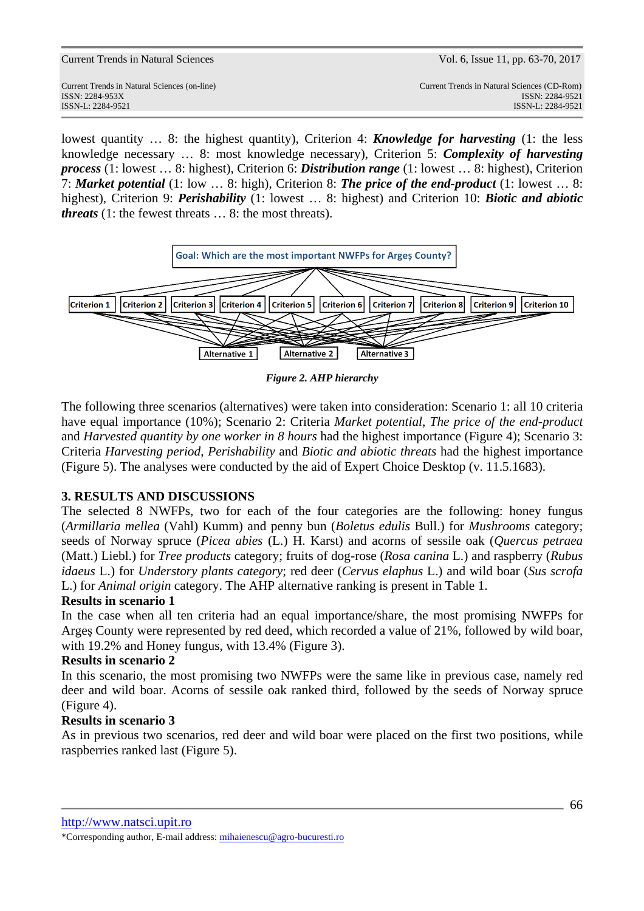lowest quantity … 8: the highest quantity), Criterion 4: *Knowledge for harvesting* (1: the less knowledge necessary … 8: most knowledge necessary), Criterion 5: *Complexity of harvesting process* (1: lowest … 8: highest), Criterion 6: *Distribution range* (1: lowest … 8: highest), Criterion 7: *Market potential* (1: low … 8: high), Criterion 8: *The price of the end-product* (1: lowest … 8: highest), Criterion 9: *Perishability* (1: lowest … 8: highest) and Criterion 10: *Biotic and abiotic threats* (1: the fewest threats … 8: the most threats).



*Figure 2. AHP hierarchy*

The following three scenarios (alternatives) were taken into consideration: Scenario 1: all 10 criteria have equal importance (10%); Scenario 2: Criteria *Market potential*, *The price of the end-product* and *Harvested quantity by one worker in 8 hours* had the highest importance (Figure 4); Scenario 3: Criteria *Harvesting period*, *Perishability* and *Biotic and abiotic threats* had the highest importance (Figure 5). The analyses were conducted by the aid of Expert Choice Desktop (v. 11.5.1683).

## **3. RESULTS AND DISCUSSIONS**

The selected 8 NWFPs, two for each of the four categories are the following: honey fungus (*Armillaria mellea* (Vahl) Kumm) and penny bun (*Boletus edulis* Bull.) for *Mushrooms* category; seeds of Norway spruce (*Picea abies* (L.) H. Karst) and acorns of sessile oak (*Quercus petraea* (Matt.) Liebl.) for *Tree products* category; fruits of dog-rose (*Rosa canina* L.) and raspberry (*Rubus idaeus* L.) for *Understory plants category*; red deer (*Cervus elaphus* L.) and wild boar (*Sus scrofa* L.) for *Animal origin* category. The AHP alternative ranking is present in Table 1.

## **Results in scenario 1**

In the case when all ten criteria had an equal importance/share, the most promising NWFPs for Argeş County were represented by red deed, which recorded a value of 21%, followed by wild boar, with 19.2% and Honey fungus, with 13.4% (Figure 3).

## **Results in scenario 2**

In this scenario, the most promising two NWFPs were the same like in previous case, namely red deer and wild boar. Acorns of sessile oak ranked third, followed by the seeds of Norway spruce (Figure 4).

## **Results in scenario 3**

As in previous two scenarios, red deer and wild boar were placed on the first two positions, while raspberries ranked last (Figure 5).

http://www.natsci.upit.ro

<sup>\*</sup>Corresponding author, E-mail address: mihaienescu@agro-bucuresti.ro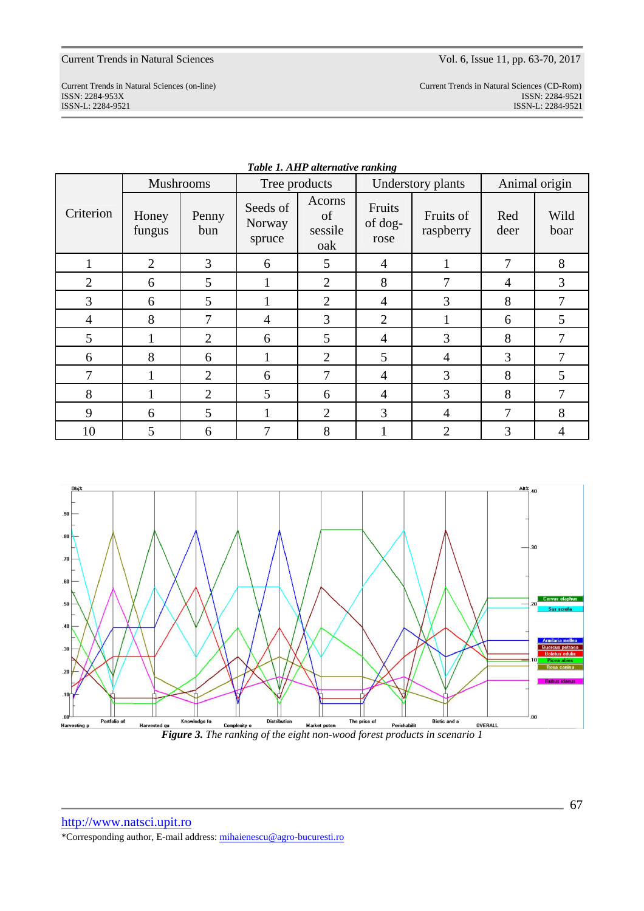ISSN-L: 2284-9521 ISSN-L: 2284-9521

Current Trends in Natural Sciences (on-line) Current Trends in Natural Sciences (CD-Rom) ISSN: 2284-953XISSN: 2284-9521

|                | Mushrooms       |                | were 1, that weether channels<br>Tree products |                                | Understory plants         |                        | Animal origin |              |
|----------------|-----------------|----------------|------------------------------------------------|--------------------------------|---------------------------|------------------------|---------------|--------------|
| Criterion      | Honey<br>fungus | Penny<br>bun   | Seeds of<br>Norway<br>spruce                   | Acorns<br>of<br>sessile<br>oak | Fruits<br>of dog-<br>rose | Fruits of<br>raspberry | Red<br>deer   | Wild<br>boar |
|                | $\overline{2}$  | 3              | 6                                              | 5                              | $\overline{4}$            |                        | 7             | 8            |
| $\overline{2}$ | 6               | 5              |                                                | $\overline{2}$                 | $8\,$                     | 7                      | 4             | 3            |
| 3              | 6               | 5              |                                                | $\overline{2}$                 | $\overline{4}$            | 3                      | 8             | 7            |
| $\overline{4}$ | 8               | 7              | 4                                              | 3                              | $\overline{2}$            |                        | 6             | 5            |
| 5              |                 | $\overline{2}$ | 6                                              | 5                              | $\overline{4}$            | $\overline{3}$         | 8             | 7            |
| 6              | 8               | 6              |                                                | $\overline{2}$                 | 5                         | $\overline{4}$         | 3             |              |
| 7              |                 | $\overline{2}$ | 6                                              | 7                              | $\overline{4}$            | 3                      | 8             | 5            |
| 8              |                 | 2              | 5                                              | 6                              | $\overline{4}$            | 3                      | 8             | $\tau$       |
| 9              | 6               | 5              |                                                | $\overline{2}$                 | 3                         | $\overline{4}$         | 7             | 8            |
| 10             | 5               | 6              | 7                                              | 8                              |                           | 2                      | 3             | 4            |

#### *Table 1. AHP alternative ranking*



http://www.natsci.upit.ro \*Corresponding author, E-mail address: mihaienescu@agro-bucuresti.ro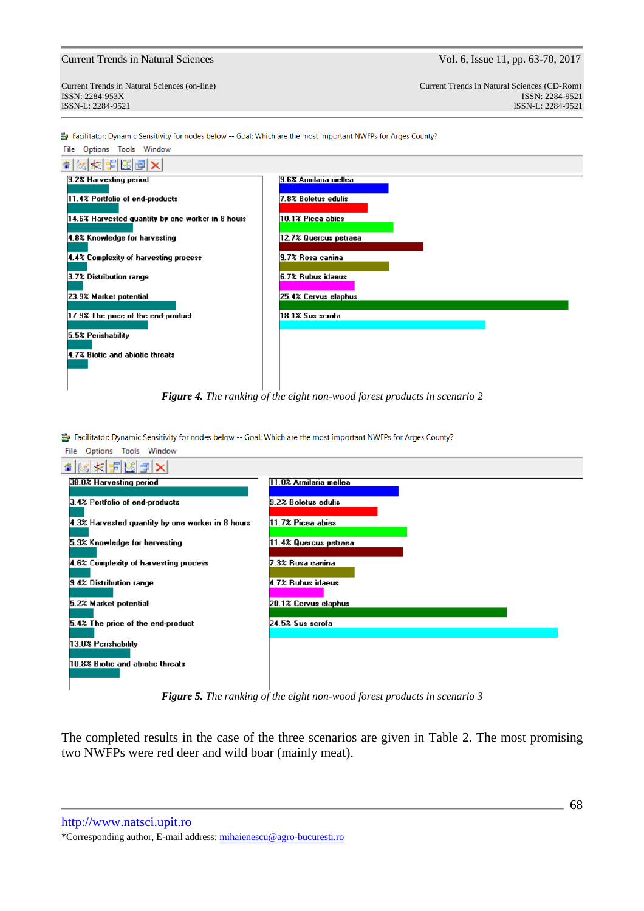Current Trends in Natural Sciences (on-line) Current Trends in Natural Sciences (CD-Rom) ISSN: 2284-953XISSN: 2284-9521 ISSN-L: 2284-9521 ISSN-L: 2284-9521

Facilitator: Dynamic Sensitivity for nodes below -- Goal: Which are the most important NWFPs for Arges County?



*Figure 4. The ranking of the eight non-wood forest products in scenario 2*

Facilitator: Dynamic Sensitivity for nodes below -- Goal: Which are the most important NWFPs for Arges County?

File Options Tools Window

| 国際国文<br>台图案                                      |                        |  |  |  |  |  |
|--------------------------------------------------|------------------------|--|--|--|--|--|
| 38.0% Harvesting period                          | 11.0% Armilaria mellea |  |  |  |  |  |
|                                                  |                        |  |  |  |  |  |
| 3.4% Portfolio of end-products                   | 9.2% Boletus edulis    |  |  |  |  |  |
|                                                  |                        |  |  |  |  |  |
| 4.3% Harvested quantity by one worker in 8 hours | 11.7% Picea abies      |  |  |  |  |  |
|                                                  |                        |  |  |  |  |  |
| 5.9% Knowledge for harvesting                    | 11.4% Quercus petraea  |  |  |  |  |  |
|                                                  |                        |  |  |  |  |  |
| 4.6% Complexity of harvesting process            | 7.3% Rosa canina       |  |  |  |  |  |
|                                                  |                        |  |  |  |  |  |
| 9.4% Distribution range                          | 4.7% Rubus idaeus      |  |  |  |  |  |
|                                                  |                        |  |  |  |  |  |
| 5.2% Market potential                            | 20.1% Cervus elaphus   |  |  |  |  |  |
| 5.4% The price of the end-product                | 24.5% Sus scrofa       |  |  |  |  |  |
|                                                  |                        |  |  |  |  |  |
| 13.0% Perishability                              |                        |  |  |  |  |  |
|                                                  |                        |  |  |  |  |  |
| 10.8% Biotic and abiotic threats                 |                        |  |  |  |  |  |
|                                                  |                        |  |  |  |  |  |
|                                                  |                        |  |  |  |  |  |
|                                                  |                        |  |  |  |  |  |

*Figure 5. The ranking of the eight non-wood forest products in scenario 3*

The completed results in the case of the three scenarios are given in Table 2. The most promising two NWFPs were red deer and wild boar (mainly meat).

http://www.natsci.upit.ro

<sup>\*</sup>Corresponding author, E-mail address: mihaienescu@agro-bucuresti.ro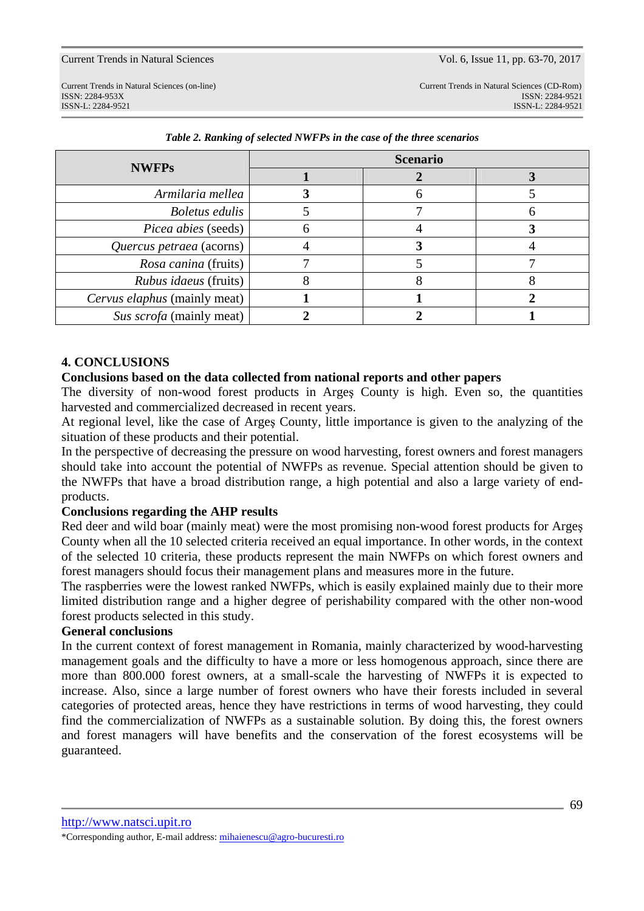| <b>NWFPs</b>                 | <b>Scenario</b> |  |  |  |  |  |  |
|------------------------------|-----------------|--|--|--|--|--|--|
|                              |                 |  |  |  |  |  |  |
| Armilaria mellea             |                 |  |  |  |  |  |  |
| Boletus edulis               |                 |  |  |  |  |  |  |
| <i>Picea abies</i> (seeds)   |                 |  |  |  |  |  |  |
| Quercus petraea (acorns)     |                 |  |  |  |  |  |  |
| Rosa canina (fruits)         |                 |  |  |  |  |  |  |
| <i>Rubus idaeus</i> (fruits) |                 |  |  |  |  |  |  |
| Cervus elaphus (mainly meat) |                 |  |  |  |  |  |  |
| Sus scrofa (mainly meat)     |                 |  |  |  |  |  |  |

*Table 2. Ranking of selected NWFPs in the case of the three scenarios*

## **4. CONCLUSIONS**

### **Conclusions based on the data collected from national reports and other papers**

The diversity of non-wood forest products in Argeş County is high. Even so, the quantities harvested and commercialized decreased in recent years.

At regional level, like the case of Argeş County, little importance is given to the analyzing of the situation of these products and their potential.

In the perspective of decreasing the pressure on wood harvesting, forest owners and forest managers should take into account the potential of NWFPs as revenue. Special attention should be given to the NWFPs that have a broad distribution range, a high potential and also a large variety of endproducts.

### **Conclusions regarding the AHP results**

Red deer and wild boar (mainly meat) were the most promising non-wood forest products for Argeş County when all the 10 selected criteria received an equal importance. In other words, in the context of the selected 10 criteria, these products represent the main NWFPs on which forest owners and forest managers should focus their management plans and measures more in the future.

The raspberries were the lowest ranked NWFPs, which is easily explained mainly due to their more limited distribution range and a higher degree of perishability compared with the other non-wood forest products selected in this study.

## **General conclusions**

In the current context of forest management in Romania, mainly characterized by wood-harvesting management goals and the difficulty to have a more or less homogenous approach, since there are more than 800.000 forest owners, at a small-scale the harvesting of NWFPs it is expected to increase. Also, since a large number of forest owners who have their forests included in several categories of protected areas, hence they have restrictions in terms of wood harvesting, they could find the commercialization of NWFPs as a sustainable solution. By doing this, the forest owners and forest managers will have benefits and the conservation of the forest ecosystems will be guaranteed.

http://www.natsci.upit.ro

<sup>\*</sup>Corresponding author, E-mail address: mihaienescu@agro-bucuresti.ro